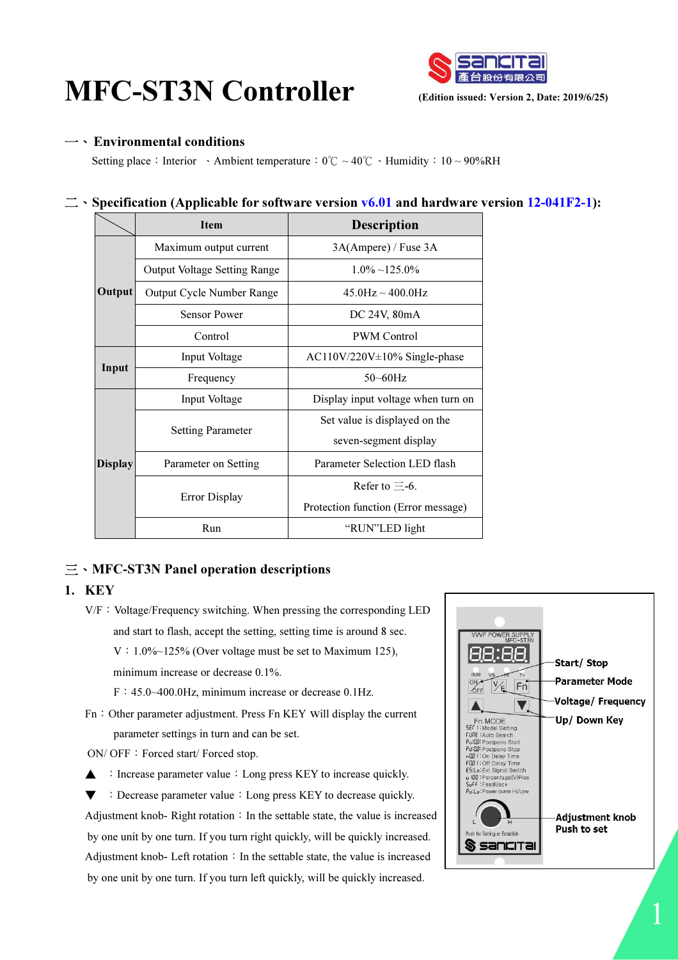# $\textbf{MFC-ST3N}$  Controller (Edition issued: Version 2, Date: 2019/6/25)



### 一、 Environmental conditions

Setting place: Interior 、Ambient temperature:  $0^\circ\text{C} \sim 40^\circ\text{C}$ 、Humidity:  $10 \sim 90\%RH$ 

# $\equiv$   $\cdot$  Specification (Applicable for software version v6.01 and hardware version 12-041F2-1):

|                | <b>Item</b>                         | <b>Description</b>                  |  |
|----------------|-------------------------------------|-------------------------------------|--|
| Output         | Maximum output current              | 3A(Ampere) / Fuse 3A                |  |
|                | <b>Output Voltage Setting Range</b> | $1.0\% \sim 125.0\%$                |  |
|                | Output Cycle Number Range           | $45.0$ Hz $\sim$ 400.0Hz            |  |
|                | <b>Sensor Power</b>                 | DC 24V, 80mA                        |  |
|                | Control                             | <b>PWM</b> Control                  |  |
| Input          | Input Voltage                       | $AC110V/220V \pm 10\%$ Single-phase |  |
|                | Frequency                           | $50 - 60$ Hz                        |  |
| <b>Display</b> | Input Voltage                       | Display input voltage when turn on  |  |
|                | <b>Setting Parameter</b>            | Set value is displayed on the       |  |
|                |                                     | seven-segment display               |  |
|                | Parameter on Setting                | Parameter Selection LED flash       |  |
|                |                                     | Refer to $\equiv$ -6.               |  |
|                | <b>Error Display</b>                | Protection function (Error message) |  |
|                | Run                                 | "RUN"LED light                      |  |

# 三、MFC-ST3N Panel operation descriptions

# 1. KEY

- $V/F: Voltage/Frequency switching.$  When pressing the corresponding LED and start to flash, accept the setting, setting time is around 8 sec.  $V: 1.0\%~125\%$  (Over voltage must be set to Maximum 125), minimum increase or decrease 0.1%.
	- F:45.0~400.0Hz, minimum increase or decrease 0.1Hz.
- Fn: Other parameter adjustment. Press Fn KEY will display the current parameter settings in turn and can be set.
- ON/ OFF: Forced start/ Forced stop.
- $\triangle$ : Increase parameter value: Long press KEY to increase quickly.
- ▼ :Decrease parameter value:Long press KEY to decrease quickly. Adjustment knob-Right rotation: In the settable state, the value is increased by one unit by one turn. If you turn right quickly, will be quickly increased. Adjustment knob- Left rotation: In the settable state, the value is increased by one unit by one turn. If you turn left quickly, will be quickly increased.

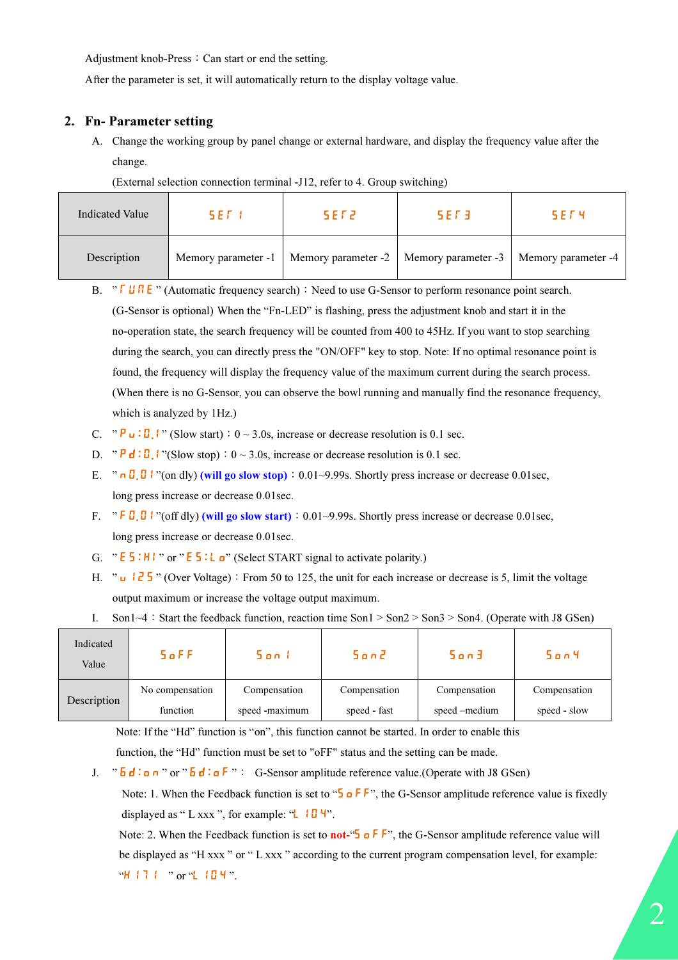Adjustment knob-Press: Can start or end the setting.

After the parameter is set, it will automatically return to the display voltage value.

# 2. Fn- Parameter setting

A. Change the working group by panel change or external hardware, and display the frequency value after the change.

| <b>Indicated Value</b> | SFT                 | 5 E F 2             | 5 F F 3             | 5 F F 4             |
|------------------------|---------------------|---------------------|---------------------|---------------------|
| Description            | Memory parameter -1 | Memory parameter -2 | Memory parameter -3 | Memory parameter -4 |

(External selection connection terminal -J12, refer to 4. Group switching)

B. "  $\overline{U \cup U}$   $\overline{E}$  " (Automatic frequency search): Need to use G-Sensor to perform resonance point search. (G-Sensor is optional) When the "Fn-LED" is flashing, press the adjustment knob and start it in the no-operation state, the search frequency will be counted from 400 to 45Hz. If you want to stop searching during the search, you can directly press the "ON/OFF" key to stop. Note: If no optimal resonance point is found, the frequency will display the frequency value of the maximum current during the search process. (When there is no G-Sensor, you can observe the bowl running and manually find the resonance frequency, which is analyzed by 1Hz.)

- C. " $\mathbf{P}_1$ :  $\mathbf{I}$ :  $\mathbf{I}$  " (Slow start):  $0 \sim 3.0$ s, increase or decrease resolution is 0.1 sec.
- D. "  $\mathbf{P} \mathbf{d}$ :  $\mathbf{D}$  | "(Slow stop): 0 ~ 3.0s, increase or decrease resolution is 0.1 sec.
- E. "  $\theta$  .  $\theta$  .  $\theta$  is a left of on dly) (will go slow stop): 0.01~9.99s. Shortly press increase or decrease 0.01sec, long press increase or decrease 0.01sec.
- F.  $\cdot$  " F  $\frac{\pi}{6}$ ,  $\frac{\pi}{6}$  I "(off dly) (will go slow start): 0.01~9.99s. Shortly press increase or decrease 0.01sec, long press increase or decrease 0.01sec.
- G. "  $E_5: H$  i " or "  $E_5: L_0$ " (Select START signal to activate polarity.)
- H. " u  $12\frac{1}{2}$   $\frac{1}{2}$   $\frac{1}{2}$  " (Over Voltage): From 50 to 125, the unit for each increase or decrease is 5, limit the voltage output maximum or increase the voltage output maximum.
- I. Son1~4: Start the feedback function, reaction time Son1 > Son2 > Son3 > Son4. (Operate with J8 GSen)

| Indicated<br>Value | $5$ <sub>o</sub> $FF$ | San I          | Son2         | Son3          | 5 o n 4      |
|--------------------|-----------------------|----------------|--------------|---------------|--------------|
| Description        | No compensation       | Compensation   | Compensation | Compensation  | Compensation |
|                    | function              | speed -maximum | speed - fast | speed –medium | speed - slow |

Note: If the "Hd" function is "on", this function cannot be started. In order to enable this function, the "Hd" function must be set to "oFF" status and the setting can be made.

J.  $\overline{b}$   $\overline{d}$  :  $\overline{d}$  i o  $\overline{d}$  i o  $\overline{f}$  i  $\overline{f}$  i  $\overline{g}$  G-Sensor amplitude reference value.(Operate with J8 GSen)

Note: 1. When the Feedback function is set to "S o F F", the G-Sensor amplitude reference value is fixedly displayed as " L xxx ", for example: " $\Box$   $\Psi$ ".

Note: 2. When the Feedback function is set to **not-**" $\overline{5}$  o F F", the G-Sensor amplitude reference value will be displayed as "H xxx " or " L xxx " according to the current program compensation level, for example: "H 17 1 " or "L 10 4".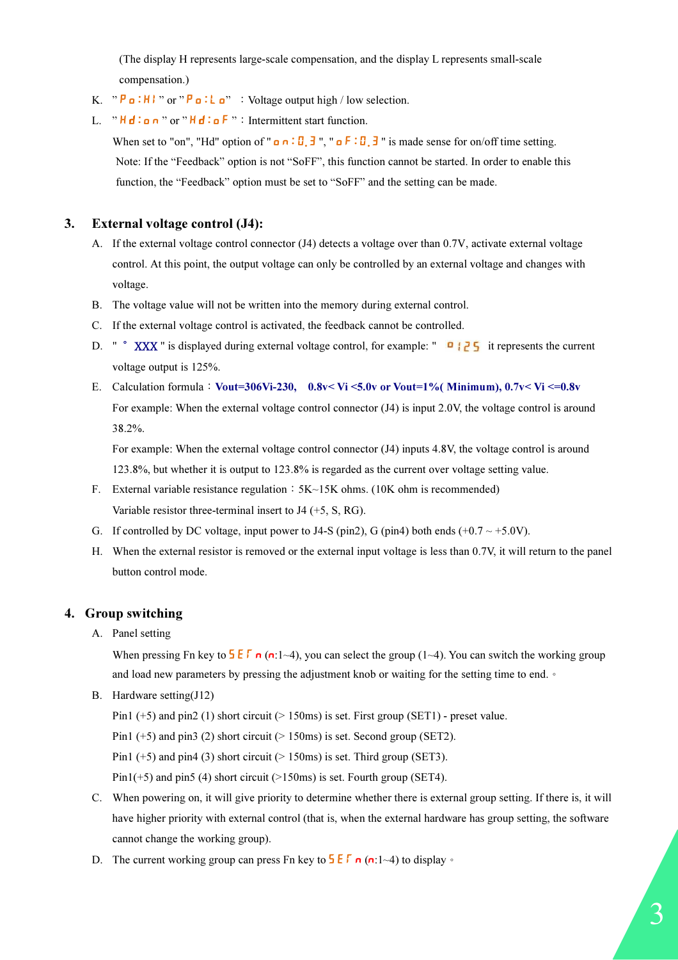(The display H represents large-scale compensation, and the display L represents small-scale compensation.)

- K.  $P \bullet : H \bullet P \bullet : L \bullet P \bullet : \text{Voltag}$  we selection.
- L. "  $H d : n$  " or "  $H d : a F$  " : Intermittent start function.

When set to "on", "Hd" option of "  $\mathbf{a} : \mathbf{B} : \mathbf{B} : \mathbf{B} : \mathbf{B} : \mathbf{B}$  is made sense for on/off time setting. Note: If the "Feedback" option is not "SoFF", this function cannot be started. In order to enable this function, the "Feedback" option must be set to "SoFF" and the setting can be made.

#### 3. External voltage control (J4):

- A. If the external voltage control connector (J4) detects a voltage over than 0.7V, activate external voltage control. At this point, the output voltage can only be controlled by an external voltage and changes with voltage.
- B. The voltage value will not be written into the memory during external control.
- C. If the external voltage control is activated, the feedback cannot be controlled.
- D. " ° XXX " is displayed during external voltage control, for example: " **i** if represents the current voltage output is 125%.
- E. Calculation formula: Vout=306Vi-230, 0.8v< Vi <5.0v or Vout=1%( Minimum),  $0.7v < Vi$  <=0.8v For example: When the external voltage control connector (J4) is input 2.0V, the voltage control is around 38.2%.

For example: When the external voltage control connector (J4) inputs 4.8V, the voltage control is around 123.8%, but whether it is output to 123.8% is regarded as the current over voltage setting value.

- F. External variable resistance regulation:  $5K~15K$  ohms. (10K ohm is recommended) Variable resistor three-terminal insert to J4 (+5, S, RG).
- G. If controlled by DC voltage, input power to J4-S (pin2), G (pin4) both ends (+0.7  $\sim$  +5.0V).
- H. When the external resistor is removed or the external input voltage is less than 0.7V, it will return to the panel button control mode.

#### 4. Group switching

A. Panel setting

When pressing Fn key to  $\frac{1}{5}$   $\frac{1}{6}$  (n:1~4), you can select the group (1~4). You can switch the working group and load new parameters by pressing the adjustment knob or waiting for the setting time to end. •

B. Hardware setting(J12)

Pin1 (+5) and pin2 (1) short circuit (> 150ms) is set. First group (SET1) - preset value.

Pin1 (+5) and pin3 (2) short circuit ( $> 150$ ms) is set. Second group (SET2).

Pin1 (+5) and pin4 (3) short circuit ( $> 150$ ms) is set. Third group (SET3).

Pin $1(+5)$  and pin5 (4) short circuit (>150ms) is set. Fourth group (SET4).

- C. When powering on, it will give priority to determine whether there is external group setting. If there is, it will have higher priority with external control (that is, when the external hardware has group setting, the software cannot change the working group).
- D. The current working group can press Fn key to  $5E\sqrt{r}$  n (n:1~4) to display  $\circ$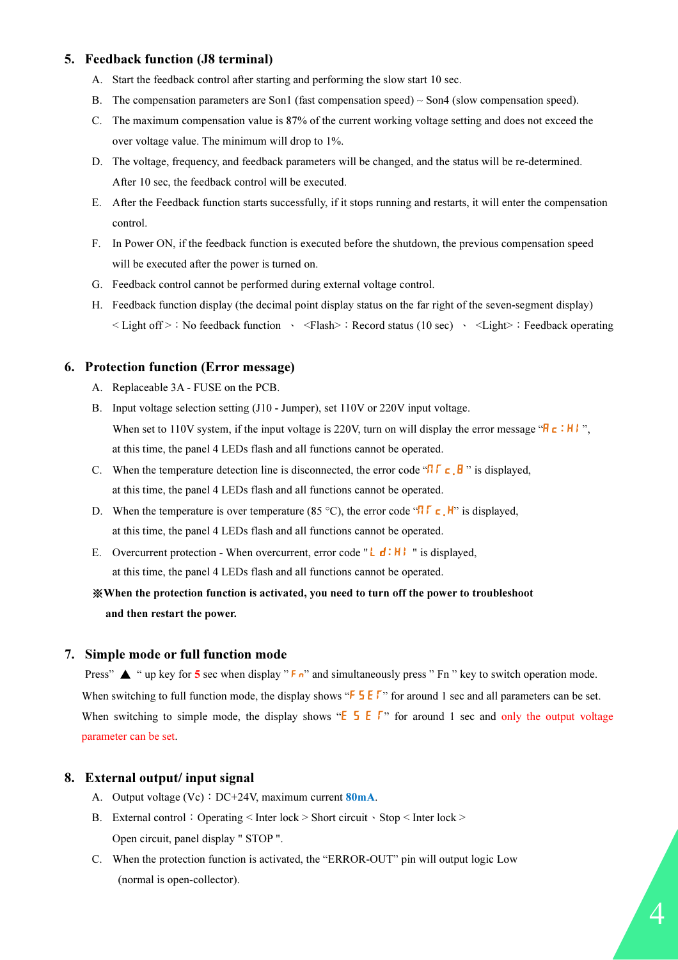#### 5. Feedback function (J8 terminal)

- A. Start the feedback control after starting and performing the slow start 10 sec.
- B. The compensation parameters are Son1 (fast compensation speed)  $\sim$  Son4 (slow compensation speed).
- C. The maximum compensation value is 87% of the current working voltage setting and does not exceed the over voltage value. The minimum will drop to 1%.
- D. The voltage, frequency, and feedback parameters will be changed, and the status will be re-determined. After 10 sec, the feedback control will be executed.
- E. After the Feedback function starts successfully, if it stops running and restarts, it will enter the compensation control.
- F. In Power ON, if the feedback function is executed before the shutdown, the previous compensation speed will be executed after the power is turned on.
- G. Feedback control cannot be performed during external voltage control.
- H. Feedback function display (the decimal point display status on the far right of the seven-segment display)  $\leq$  Light off  $\geq$ : No feedback function  $\leq$   $\leq$  Flash $\geq$ : Record status (10 sec)  $\leq$   $\leq$  Light $\geq$ : Feedback operating

#### 6. Protection function (Error message)

- A. Replaceable 3A FUSE on the PCB.
- B. Input voltage selection setting (J10 Jumper), set 110V or 220V input voltage. When set to 110V system, if the input voltage is 220V, turn on will display the error message " $R_c : H$ ", at this time, the panel 4 LEDs flash and all functions cannot be operated.
- C. When the temperature detection line is disconnected, the error code " $\Pi \Gamma \subset \mathbf{B}$ " is displayed, at this time, the panel 4 LEDs flash and all functions cannot be operated.
- D. When the temperature is over temperature (85 °C), the error code " $\Pi \Gamma \subset H$ " is displayed, at this time, the panel 4 LEDs flash and all functions cannot be operated.
- E. Overcurrent protection When overcurrent, error code " $L d : H$  " is displayed, at this time, the panel 4 LEDs flash and all functions cannot be operated.

# ※When the protection function is activated, you need to turn off the power to troubleshoot and then restart the power.

#### 7. Simple mode or full function mode

Press"  $\blacktriangle$  " up key for 5 sec when display " F<sub>n</sub>" and simultaneously press " Fn " key to switch operation mode. When switching to full function mode, the display shows " $\frac{1}{5}$   $\frac{1}{5}$   $\frac{1}{5}$ " for around 1 sec and all parameters can be set. When switching to simple mode, the display shows " $E = F$ " for around 1 sec and only the output voltage parameter can be set.

#### 8. External output/ input signal

- A. Output voltage  $(Vc)$ : DC+24V, maximum current 80mA.
- B. External control:Operating < Inter lock > Short circuit、Stop < Inter lock > Open circuit, panel display " STOP ".
- C. When the protection function is activated, the "ERROR-OUT" pin will output logic Low (normal is open-collector).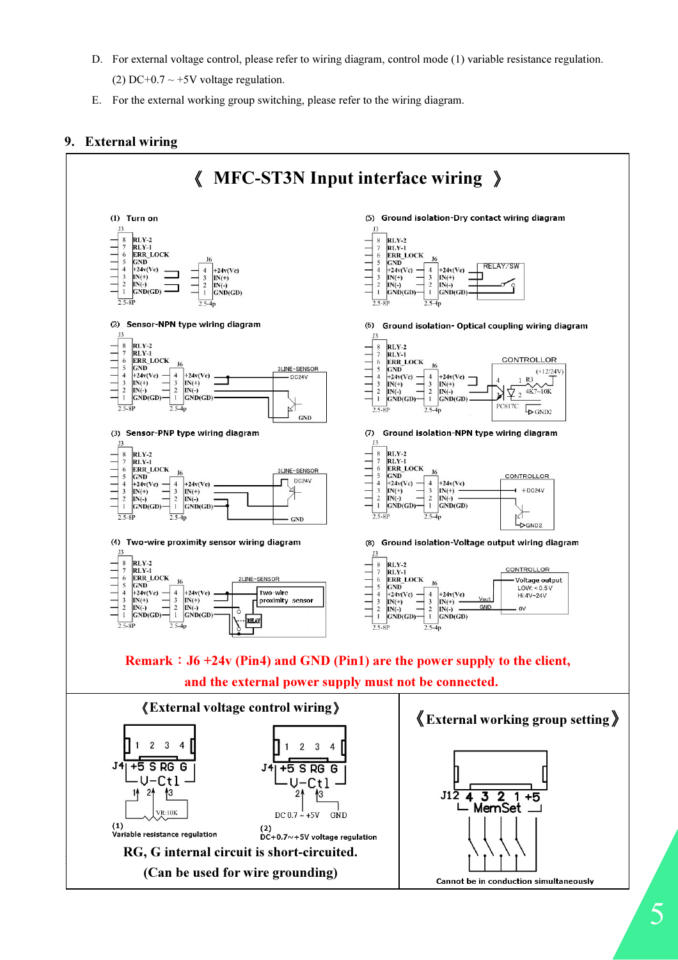D. For external voltage control, please refer to wiring diagram, control mode (1) variable resistance regulation.

(2) DC+0.7  $\sim$  +5V voltage regulation.

E. For the external working group switching, please refer to the wiring diagram.

# 9. External wiring